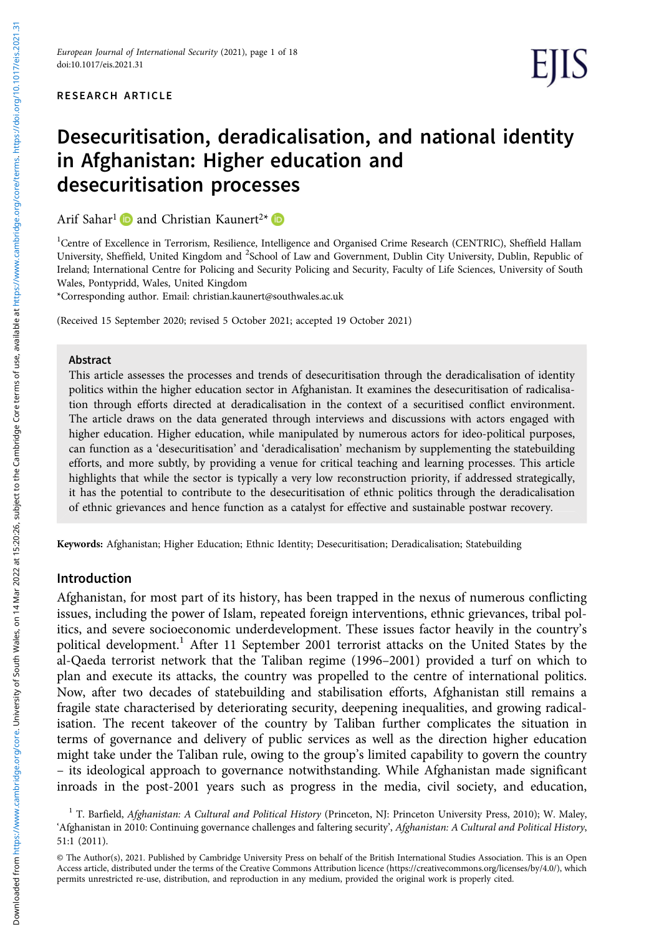# Desecuritisation, deradicalisation, and national identity in Afghanistan: Higher education and desecuritisation processes

Arif Sahar<sup>1</sup> and Christian Kaunert<sup>2\*</sup>

<sup>1</sup>Centre of Excellence in Terrorism, Resilience, Intelligence and Organised Crime Research (CENTRIC), Sheffield Hallam University, Sheffield, United Kingdom and <sup>2</sup>School of Law and Government, Dublin City University, Dublin, Republic of Ireland; International Centre for Policing and Security Policing and Security, Faculty of Life Sciences, University of South Wales, Pontypridd, Wales, United Kingdom

\*Corresponding author. Email: [christian.kaunert@southwales.ac.uk](mailto:christian.kaunert@southwales.ac.uk)

(Received 15 September 2020; revised 5 October 2021; accepted 19 October 2021)

#### Abstract

This article assesses the processes and trends of desecuritisation through the deradicalisation of identity politics within the higher education sector in Afghanistan. It examines the desecuritisation of radicalisation through efforts directed at deradicalisation in the context of a securitised conflict environment. The article draws on the data generated through interviews and discussions with actors engaged with higher education. Higher education, while manipulated by numerous actors for ideo-political purposes, can function as a 'desecuritisation' and 'deradicalisation' mechanism by supplementing the statebuilding efforts, and more subtly, by providing a venue for critical teaching and learning processes. This article highlights that while the sector is typically a very low reconstruction priority, if addressed strategically, it has the potential to contribute to the desecuritisation of ethnic politics through the deradicalisation of ethnic grievances and hence function as a catalyst for effective and sustainable postwar recovery.

Keywords: Afghanistan; Higher Education; Ethnic Identity; Desecuritisation; Deradicalisation; Statebuilding

#### Introduction

Afghanistan, for most part of its history, has been trapped in the nexus of numerous conflicting issues, including the power of Islam, repeated foreign interventions, ethnic grievances, tribal politics, and severe socioeconomic underdevelopment. These issues factor heavily in the country's political development.<sup>1</sup> After 11 September 2001 terrorist attacks on the United States by the al-Qaeda terrorist network that the Taliban regime (1996–2001) provided a turf on which to plan and execute its attacks, the country was propelled to the centre of international politics. Now, after two decades of statebuilding and stabilisation efforts, Afghanistan still remains a fragile state characterised by deteriorating security, deepening inequalities, and growing radicalisation. The recent takeover of the country by Taliban further complicates the situation in terms of governance and delivery of public services as well as the direction higher education might take under the Taliban rule, owing to the group's limited capability to govern the country – its ideological approach to governance notwithstanding. While Afghanistan made significant inroads in the post-2001 years such as progress in the media, civil society, and education,

<sup>&</sup>lt;sup>1</sup> T. Barfield, Afghanistan: A Cultural and Political History (Princeton, NJ: Princeton University Press, 2010); W. Maley, 'Afghanistan in 2010: Continuing governance challenges and faltering security', Afghanistan: A Cultural and Political History, 51:1 (2011).

<sup>©</sup> The Author(s), 2021. Published by Cambridge University Press on behalf of the British International Studies Association. This is an Open Access article, distributed under the terms of the Creative Commons Attribution licence ([https://creativecommons.org/licenses/by/4.0/\)](https://creativecommons.org/licenses/by/4.0/), which permits unrestricted re-use, distribution, and reproduction in any medium, provided the original work is properly cited.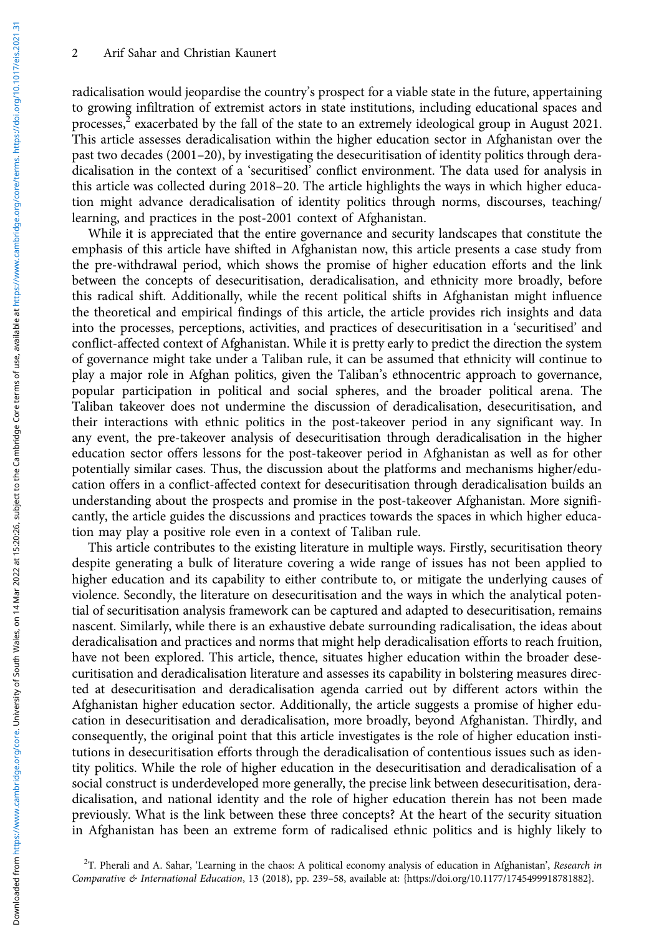radicalisation would jeopardise the country's prospect for a viable state in the future, appertaining to growing infiltration of extremist actors in state institutions, including educational spaces and processes, $<sup>2</sup>$  exacerbated by the fall of the state to an extremely ideological group in August 2021.</sup> This article assesses deradicalisation within the higher education sector in Afghanistan over the past two decades (2001–20), by investigating the desecuritisation of identity politics through deradicalisation in the context of a 'securitised' conflict environment. The data used for analysis in this article was collected during 2018–20. The article highlights the ways in which higher education might advance deradicalisation of identity politics through norms, discourses, teaching/ learning, and practices in the post-2001 context of Afghanistan.

While it is appreciated that the entire governance and security landscapes that constitute the emphasis of this article have shifted in Afghanistan now, this article presents a case study from the pre-withdrawal period, which shows the promise of higher education efforts and the link between the concepts of desecuritisation, deradicalisation, and ethnicity more broadly, before this radical shift. Additionally, while the recent political shifts in Afghanistan might influence the theoretical and empirical findings of this article, the article provides rich insights and data into the processes, perceptions, activities, and practices of desecuritisation in a 'securitised' and conflict-affected context of Afghanistan. While it is pretty early to predict the direction the system of governance might take under a Taliban rule, it can be assumed that ethnicity will continue to play a major role in Afghan politics, given the Taliban's ethnocentric approach to governance, popular participation in political and social spheres, and the broader political arena. The Taliban takeover does not undermine the discussion of deradicalisation, desecuritisation, and their interactions with ethnic politics in the post-takeover period in any significant way. In any event, the pre-takeover analysis of desecuritisation through deradicalisation in the higher education sector offers lessons for the post-takeover period in Afghanistan as well as for other potentially similar cases. Thus, the discussion about the platforms and mechanisms higher/education offers in a conflict-affected context for desecuritisation through deradicalisation builds an understanding about the prospects and promise in the post-takeover Afghanistan. More significantly, the article guides the discussions and practices towards the spaces in which higher education may play a positive role even in a context of Taliban rule.

This article contributes to the existing literature in multiple ways. Firstly, securitisation theory despite generating a bulk of literature covering a wide range of issues has not been applied to higher education and its capability to either contribute to, or mitigate the underlying causes of violence. Secondly, the literature on desecuritisation and the ways in which the analytical potential of securitisation analysis framework can be captured and adapted to desecuritisation, remains nascent. Similarly, while there is an exhaustive debate surrounding radicalisation, the ideas about deradicalisation and practices and norms that might help deradicalisation efforts to reach fruition, have not been explored. This article, thence, situates higher education within the broader desecuritisation and deradicalisation literature and assesses its capability in bolstering measures directed at desecuritisation and deradicalisation agenda carried out by different actors within the Afghanistan higher education sector. Additionally, the article suggests a promise of higher education in desecuritisation and deradicalisation, more broadly, beyond Afghanistan. Thirdly, and consequently, the original point that this article investigates is the role of higher education institutions in desecuritisation efforts through the deradicalisation of contentious issues such as identity politics. While the role of higher education in the desecuritisation and deradicalisation of a social construct is underdeveloped more generally, the precise link between desecuritisation, deradicalisation, and national identity and the role of higher education therein has not been made previously. What is the link between these three concepts? At the heart of the security situation in Afghanistan has been an extreme form of radicalised ethnic politics and is highly likely to

<sup>&</sup>lt;sup>2</sup>T. Pherali and A. Sahar, 'Learning in the chaos: A political economy analysis of education in Afghanistan', Research in Comparative & International Education, 13 (2018), pp. 239–58, available at: {[https://doi.org/10.1177/1745499918781882](https://doi.org/10.1177%2F1745499918781882)}.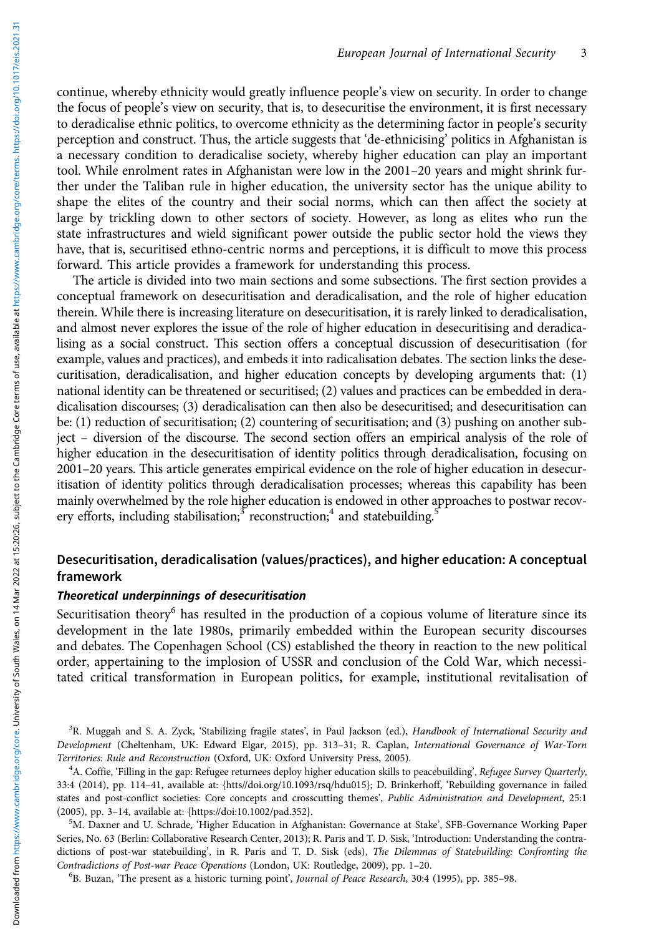continue, whereby ethnicity would greatly influence people's view on security. In order to change the focus of people's view on security, that is, to desecuritise the environment, it is first necessary to deradicalise ethnic politics, to overcome ethnicity as the determining factor in people's security perception and construct. Thus, the article suggests that 'de-ethnicising' politics in Afghanistan is a necessary condition to deradicalise society, whereby higher education can play an important tool. While enrolment rates in Afghanistan were low in the 2001–20 years and might shrink further under the Taliban rule in higher education, the university sector has the unique ability to shape the elites of the country and their social norms, which can then affect the society at large by trickling down to other sectors of society. However, as long as elites who run the state infrastructures and wield significant power outside the public sector hold the views they have, that is, securitised ethno-centric norms and perceptions, it is difficult to move this process forward. This article provides a framework for understanding this process.

The article is divided into two main sections and some subsections. The first section provides a conceptual framework on desecuritisation and deradicalisation, and the role of higher education therein. While there is increasing literature on desecuritisation, it is rarely linked to deradicalisation, and almost never explores the issue of the role of higher education in desecuritising and deradicalising as a social construct. This section offers a conceptual discussion of desecuritisation (for example, values and practices), and embeds it into radicalisation debates. The section links the desecuritisation, deradicalisation, and higher education concepts by developing arguments that: (1) national identity can be threatened or securitised; (2) values and practices can be embedded in deradicalisation discourses; (3) deradicalisation can then also be desecuritised; and desecuritisation can be: (1) reduction of securitisation; (2) countering of securitisation; and (3) pushing on another subject – diversion of the discourse. The second section offers an empirical analysis of the role of higher education in the desecuritisation of identity politics through deradicalisation, focusing on 2001–20 years. This article generates empirical evidence on the role of higher education in desecuritisation of identity politics through deradicalisation processes; whereas this capability has been mainly overwhelmed by the role higher education is endowed in other approaches to postwar recovery efforts, including stabilisation;  $3$  reconstruction; 4 and statebuilding.<sup>5</sup>

# Desecuritisation, deradicalisation (values/practices), and higher education: A conceptual framework

## Theoretical underpinnings of desecuritisation

Securitisation theory<sup>6</sup> has resulted in the production of a copious volume of literature since its development in the late 1980s, primarily embedded within the European security discourses and debates. The Copenhagen School (CS) established the theory in reaction to the new political order, appertaining to the implosion of USSR and conclusion of the Cold War, which necessitated critical transformation in European politics, for example, institutional revitalisation of

<sup>3</sup>R. Muggah and S. A. Zyck, 'Stabilizing fragile states', in Paul Jackson (ed.), Handbook of International Security and Development (Cheltenham, UK: Edward Elgar, 2015), pp. 313–31; R. Caplan, International Governance of War-Torn Territories: Rule and Reconstruction (Oxford, UK: Oxford University Press, 2005). <sup>4</sup>

<sup>4</sup>A. Coffie, 'Filling in the gap: Refugee returnees deploy higher education skills to peacebuilding', Refugee Survey Quarterly, 33:4 (2014), pp. 114–41, available at: [{htts//doi.org/10.1093/rsq/hdu015](https://doi.org/10.1093/rsq/hdu015)}; D. Brinkerhoff, 'Rebuilding governance in failed states and post-conflict societies: Core concepts and crosscutting themes', Public Administration and Development, 25:1 (2005), pp. 3-14, available at: [{https://doi:10.1002/pad.352}](https://doi:10.1002/pad.352).

<sup>5</sup>M. Daxner and U. Schrade, 'Higher Education in Afghanistan: Governance at Stake', SFB-Governance Working Paper Series, No. 63 (Berlin: Collaborative Research Center, 2013); R. Paris and T. D. Sisk, 'Introduction: Understanding the contradictions of post-war statebuilding', in R. Paris and T. D. Sisk (eds), The Dilemmas of Statebuilding: Confronting the Contradictions of Post-war Peace Operations (London, UK: Routledge, 2009), pp. 1-20.

B. Buzan, 'The present as a historic turning point', Journal of Peace Research, 30:4 (1995), pp. 385–98.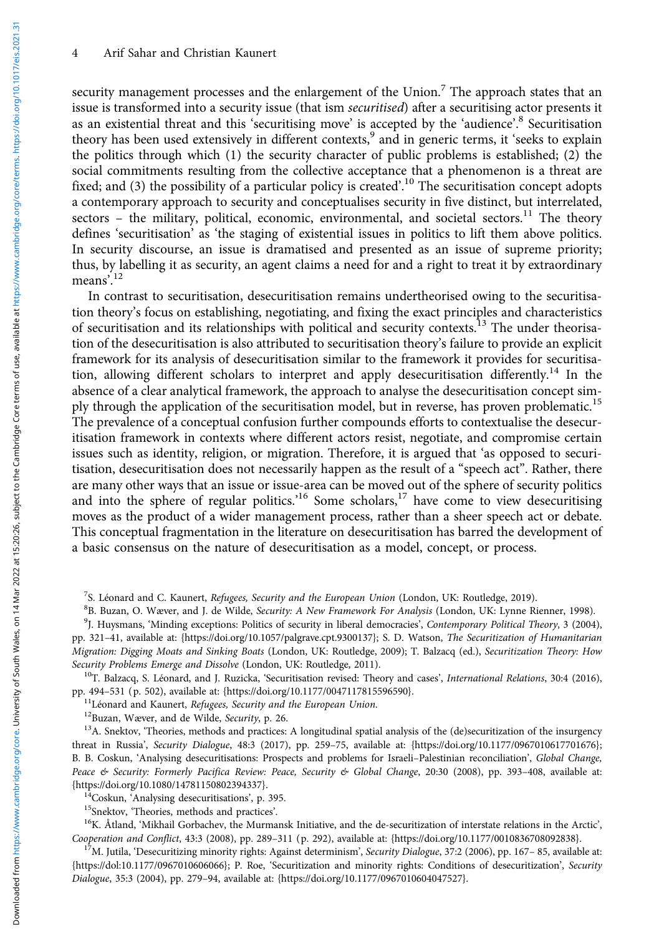security management processes and the enlargement of the Union.<sup>7</sup> The approach states that an issue is transformed into a security issue (that ism securitised) after a securitising actor presents it as an existential threat and this 'securitising move' is accepted by the 'audience'.<sup>8</sup> Securitisation theory has been used extensively in different contexts,<sup>9</sup> and in generic terms, it 'seeks to explain the politics through which (1) the security character of public problems is established; (2) the social commitments resulting from the collective acceptance that a phenomenon is a threat are fixed; and (3) the possibility of a particular policy is created'.<sup>10</sup> The securitisation concept adopts a contemporary approach to security and conceptualises security in five distinct, but interrelated, sectors – the military, political, economic, environmental, and societal sectors.<sup>11</sup> The theory defines 'securitisation' as 'the staging of existential issues in politics to lift them above politics. In security discourse, an issue is dramatised and presented as an issue of supreme priority; thus, by labelling it as security, an agent claims a need for and a right to treat it by extraordinary means'. 12

In contrast to securitisation, desecuritisation remains undertheorised owing to the securitisation theory's focus on establishing, negotiating, and fixing the exact principles and characteristics of securitisation and its relationships with political and security contexts.<sup>13</sup> The under theorisation of the desecuritisation is also attributed to securitisation theory's failure to provide an explicit framework for its analysis of desecuritisation similar to the framework it provides for securitisation, allowing different scholars to interpret and apply desecuritisation differently.<sup>14</sup> In the absence of a clear analytical framework, the approach to analyse the desecuritisation concept simply through the application of the securitisation model, but in reverse, has proven problematic.<sup>15</sup> The prevalence of a conceptual confusion further compounds efforts to contextualise the desecuritisation framework in contexts where different actors resist, negotiate, and compromise certain issues such as identity, religion, or migration. Therefore, it is argued that 'as opposed to securitisation, desecuritisation does not necessarily happen as the result of a "speech act". Rather, there are many other ways that an issue or issue-area can be moved out of the sphere of security politics and into the sphere of regular politics.<sup>16</sup> Some scholars,<sup>17</sup> have come to view desecuritising moves as the product of a wider management process, rather than a sheer speech act or debate. This conceptual fragmentation in the literature on desecuritisation has barred the development of a basic consensus on the nature of desecuritisation as a model, concept, or process.

<sup>11</sup>Léonard and Kaunert, *Refugees, Security and the European Union*.<br><sup>12</sup>Buzan, Wæver, and de Wilde, *Security*, p. 26.<br><sup>13</sup>A. Snektov, 'Theories, methods and practices: A longitudinal spatial analysis of the (de)securit threat in Russia', Security Dialogue, 48:3 (2017), pp. 259–75, available at: {[https://doi.org/10.1177/0967010617701676](https://doi.org/10.1177%2F0967010617701676)}; B. B. Coskun, 'Analysing desecuritisations: Prospects and problems for Israeli–Palestinian reconciliation', [Global Change,](https://www.tandfonline.com/toc/cpar20/current) [Peace & Security:](https://www.tandfonline.com/toc/cpar20/current) Formerly Pacifica Review: Peace, Security & Global Change, 20:30 (2008), pp. 393-408, available at: {https://doi.org/10.1080/14781150802394337}.

<sup>14</sup>Coskun, 'Analysing desecuritisations', p. 395.<br><sup>15</sup>Snektov, 'Theories, methods and practices'.<br><sup>16</sup>K. Åtland, 'Mikhail Gorbachev, the Murmansk Initiative, and the de-securitization of interstate relations in the Arcti Cooperation and Conflict, 43:3 (2008), pp. 289–311 (p. 292), available at: [{https://doi.org/10.1177/0010836708092838](https://doi.org/10.1177/0010836708092838)}.<br><sup>17</sup>M. Jutila, 'Desecuritizing minority rights: Against determinism', *Security Dialogue*, 37:2 (2006)

{[https://dol:10.1177/0967010606066}](https://dol:10.1177/0967010606066); P. Roe, 'Securitization and minority rights: Conditions of desecuritization', Security Dialogue, 35:3 (2004), pp. 279–94, available at: {<https://doi.org/10.1177/0967010604047527>}.

<sup>&</sup>lt;sup>7</sup>S. Léonard and C. Kaunert, *Refugees, Security and the European Union* (London, UK: Routledge, 2019).<br><sup>8</sup>B. Buzan, O. Wæyer, and L. de Wilde, *Security: A New Framework For Anglysis* (London, UK: Lynne B

<sup>&</sup>lt;sup>8</sup>B. Buzan, O. Wæver, and J. de Wilde, Security: A New Framework For Analysis (London, UK: Lynne Rienner, 1998).

<sup>&</sup>lt;sup>9</sup>J. Huysmans, 'Minding exceptions: Politics of security in liberal democracies', Contemporary Political Theory, 3 (2004), pp. 321–41, available at: [{https://doi.org/10.1057/palgrave.cpt.9300137](https://doi.org/10.1057/palgrave.cpt.9300137)}; S. D. Watson, The Securitization of Humanitarian Migration: Digging Moats and Sinking Boats (London, UK: Routledge, 2009); T. Balzacq (ed.), Securitization Theory: How

Security Problems Emerge and Dissolve (London, UK: Routledge, 2011).<br><sup>10</sup>T. Balzacq, S. Léonard, and J. Ruzicka, 'Securitisation revised: Theory and cases', *International Relations*, 30:4 (2016),<br>pp. 494–531 (p. 502), ava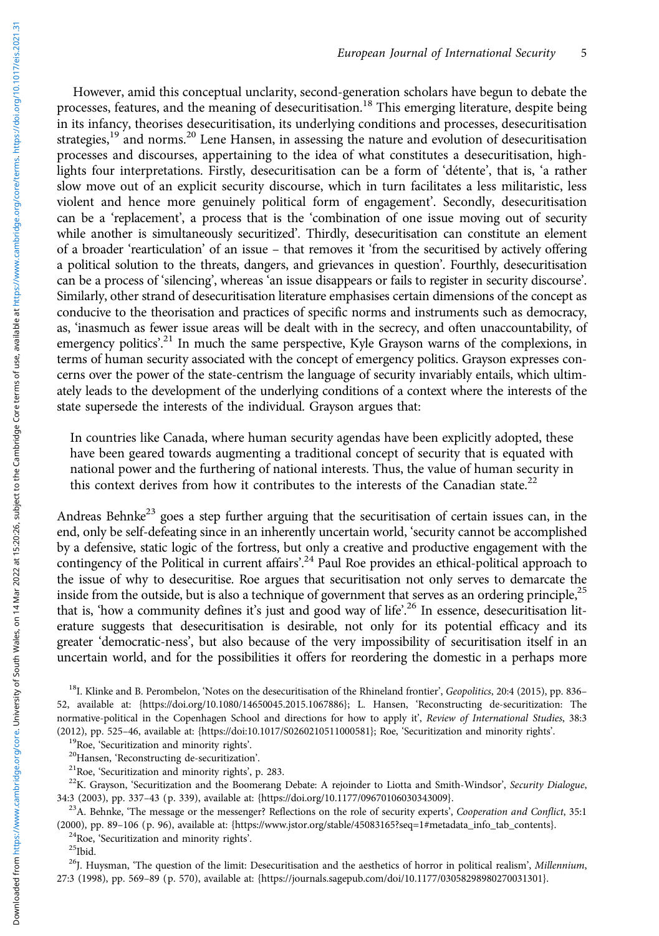However, amid this conceptual unclarity, second-generation scholars have begun to debate the processes, features, and the meaning of desecuritisation.<sup>18</sup> This emerging literature, despite being in its infancy, theorises desecuritisation, its underlying conditions and processes, desecuritisation strategies,<sup>19</sup> and norms.<sup>20</sup> Lene Hansen, in assessing the nature and evolution of desecuritisation processes and discourses, appertaining to the idea of what constitutes a desecuritisation, highlights four interpretations. Firstly, desecuritisation can be a form of 'détente', that is, 'a rather slow move out of an explicit security discourse, which in turn facilitates a less militaristic, less violent and hence more genuinely political form of engagement'. Secondly, desecuritisation can be a 'replacement', a process that is the 'combination of one issue moving out of security while another is simultaneously securitized'. Thirdly, desecuritisation can constitute an element of a broader 'rearticulation' of an issue – that removes it 'from the securitised by actively offering a political solution to the threats, dangers, and grievances in question'. Fourthly, desecuritisation can be a process of 'silencing', whereas 'an issue disappears or fails to register in security discourse'. Similarly, other strand of desecuritisation literature emphasises certain dimensions of the concept as conducive to the theorisation and practices of specific norms and instruments such as democracy, as, 'inasmuch as fewer issue areas will be dealt with in the secrecy, and often unaccountability, of emergency politics'.<sup>21</sup> In much the same perspective, Kyle Grayson warns of the complexions, in terms of human security associated with the concept of emergency politics. Grayson expresses concerns over the power of the state-centrism the language of security invariably entails, which ultimately leads to the development of the underlying conditions of a context where the interests of the state supersede the interests of the individual. Grayson argues that:

In countries like Canada, where human security agendas have been explicitly adopted, these have been geared towards augmenting a traditional concept of security that is equated with national power and the furthering of national interests. Thus, the value of human security in this context derives from how it contributes to the interests of the Canadian state.<sup>22</sup>

Andreas Behnke<sup>23</sup> goes a step further arguing that the securitisation of certain issues can, in the end, only be self-defeating since in an inherently uncertain world, 'security cannot be accomplished by a defensive, static logic of the fortress, but only a creative and productive engagement with the contingency of the Political in current affairs'.<sup>24</sup> Paul Roe provides an ethical-political approach to the issue of why to desecuritise. Roe argues that securitisation not only serves to demarcate the inside from the outside, but is also a technique of government that serves as an ordering principle,<sup>25</sup> that is, 'how a community defines it's just and good way of life'.<sup>26</sup> In essence, desecuritisation literature suggests that desecuritisation is desirable, not only for its potential efficacy and its greater 'democratic-ness', but also because of the very impossibility of securitisation itself in an uncertain world, and for the possibilities it offers for reordering the domestic in a perhaps more

- 
- 

<sup>19</sup>Roe, 'Securitization and minority rights'.<br><sup>20</sup>Hansen, 'Reconstructing de-securitization'.<br><sup>21</sup>Roe, 'Securitization and minority rights', p. 283.<br><sup>22</sup>K. Grayson, 'Securitization and the Boomerang Debate: A rejoinder t 34:3 (2003), pp. 337–43 (p. 339), available at: {[https://doi.org/10.1177/09670106030343009](https://doi.org/10.1177%2F09670106030343009)}.<br><sup>23</sup>A. Behnke, 'The message or the messenger? Reflections on the role of security experts', Cooperation and Conflict, 35:1

(2000), pp. 89–106 (p. 96), available at: {[https://www.jstor.org/stable/45083165?seq=1#metadata\\_info\\_tab\\_contents](https://www.jstor.org/stable/45083165?seq=1#metadata_info_tab_contents)}. <sup>24</sup>Roe, 'Securitization and minority rights'. <sup>25</sup>Ibid.

 $^{26}$ J. Huysman, 'The question of the limit: Desecuritisation and the aesthetics of horror in political realism', Millennium, 27:3 (1998), pp. 569–89 (p. 570), available at: {<https://journals.sagepub.com/doi/10.1177/03058298980270031301>}.

<sup>&</sup>lt;sup>18</sup>I. Klinke and B. Perombelon, 'Notes on the desecuritisation of the Rhineland frontier', Geopolitics, 20:4 (2015), pp. 836– 52, available at: {<https://doi.org/10.1080/14650045.2015.1067886>}; L. Hansen, 'Reconstructing de-securitization: The normative-political in the Copenhagen School and directions for how to apply it', Review of International Studies, 38:3<br>(2012), pp. 525-46, available at: {https://doi:10.1017/S0260210511000581}; Roe, 'Securitization and mi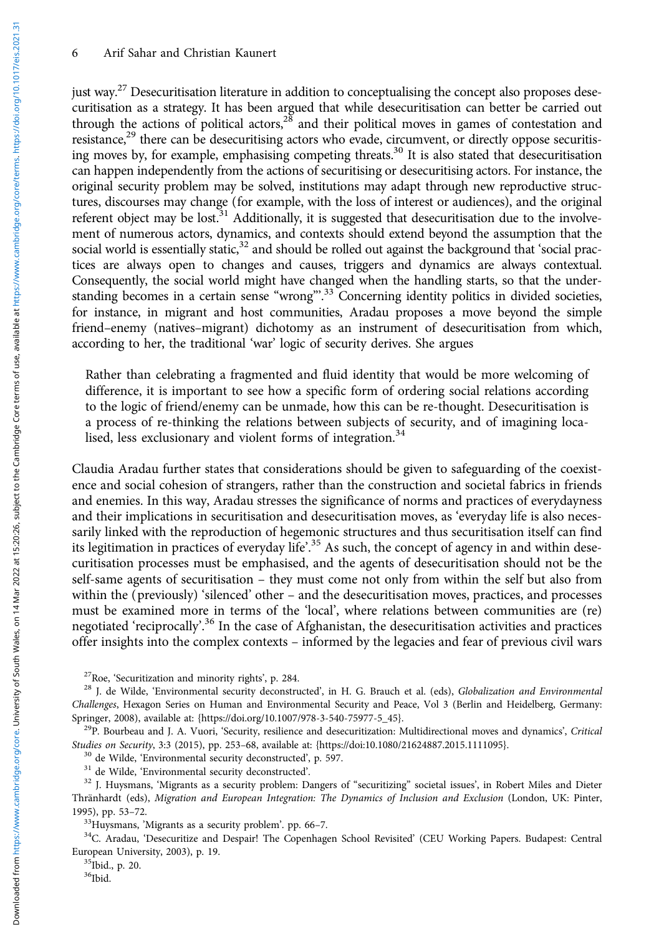#### 6 Arif Sahar and Christian Kaunert

just way.<sup>27</sup> Desecuritisation literature in addition to conceptualising the concept also proposes desecuritisation as a strategy. It has been argued that while desecuritisation can better be carried out through the actions of political actors, $2<sup>8</sup>$  and their political moves in games of contestation and resistance,<sup>29</sup> there can be desecuritising actors who evade, circumvent, or directly oppose securitising moves by, for example, emphasising competing threats.30 It is also stated that desecuritisation can happen independently from the actions of securitising or desecuritising actors. For instance, the original security problem may be solved, institutions may adapt through new reproductive structures, discourses may change (for example, with the loss of interest or audiences), and the original referent object may be lost.<sup>31</sup> Additionally, it is suggested that desecuritisation due to the involvement of numerous actors, dynamics, and contexts should extend beyond the assumption that the social world is essentially static, $32$  and should be rolled out against the background that 'social practices are always open to changes and causes, triggers and dynamics are always contextual. Consequently, the social world might have changed when the handling starts, so that the understanding becomes in a certain sense "wrong".<sup>33</sup> Concerning identity politics in divided societies, for instance, in migrant and host communities, Aradau proposes a move beyond the simple friend–enemy (natives–migrant) dichotomy as an instrument of desecuritisation from which, according to her, the traditional 'war' logic of security derives. She argues

Rather than celebrating a fragmented and fluid identity that would be more welcoming of difference, it is important to see how a specific form of ordering social relations according to the logic of friend/enemy can be unmade, how this can be re-thought. Desecuritisation is a process of re-thinking the relations between subjects of security, and of imagining localised, less exclusionary and violent forms of integration.<sup>34</sup>

Claudia Aradau further states that considerations should be given to safeguarding of the coexistence and social cohesion of strangers, rather than the construction and societal fabrics in friends and enemies. In this way, Aradau stresses the significance of norms and practices of everydayness and their implications in securitisation and desecuritisation moves, as 'everyday life is also necessarily linked with the reproduction of hegemonic structures and thus securitisation itself can find its legitimation in practices of everyday life'.<sup>35</sup> As such, the concept of agency in and within desecuritisation processes must be emphasised, and the agents of desecuritisation should not be the self-same agents of securitisation – they must come not only from within the self but also from within the (previously) 'silenced' other – and the desecuritisation moves, practices, and processes must be examined more in terms of the 'local', where relations between communities are (re) negotiated 'reciprocally'.<sup>36</sup> In the case of Afghanistan, the desecuritisation activities and practices offer insights into the complex contexts – informed by the legacies and fear of previous civil wars

Studies on Security, 3:3 (2015), pp. 253–68, available at: [{https://doi:10.1080/21624887.2015.1111095}](https://doi:10.1080/21624887.2015.1111095).<br><sup>30</sup> de Wilde, 'Environmental security deconstructed', p. 597.<br><sup>31</sup> de Wilde, 'Environmental security deconstructed'.

Thränhardt (eds), Migration and European Integration: The Dynamics of Inclusion and Exclusion (London, UK: Pinter,

 $^{33}$ Huysmans, 'Migrants as a security problem'. pp. 66–7.<br> $^{34}$ C. Aradau, 'Desecuritize and Despair! The Copenhagen School Revisited' (CEU Working Papers. Budapest: Central European University, 2003), p. 19.<br> $35$ Ibid., p. 20.

 $36$ Ibid.

<sup>&</sup>lt;sup>27</sup>Roe, 'Securitization and minority rights', p. 284.<br><sup>28</sup> J. de Wilde, 'Environmental security deconstructed', in H. G. Brauch et al. (eds), *Globalization and Environmental* Challenges, Hexagon Series on Human and Environmental Security and Peace, Vol 3 (Berlin and Heidelberg, Germany: Springer, 2008), available at: {[https://doi.org/10.1007/978-3-540-75977-5\\_45}](https://doi.org/10.1007/978-3-540-75977-5_45). 29P. Bourbeau and J. A. Vuori, 'Security, resilience and desecuritization: Multidirectional moves and dynamics', Critical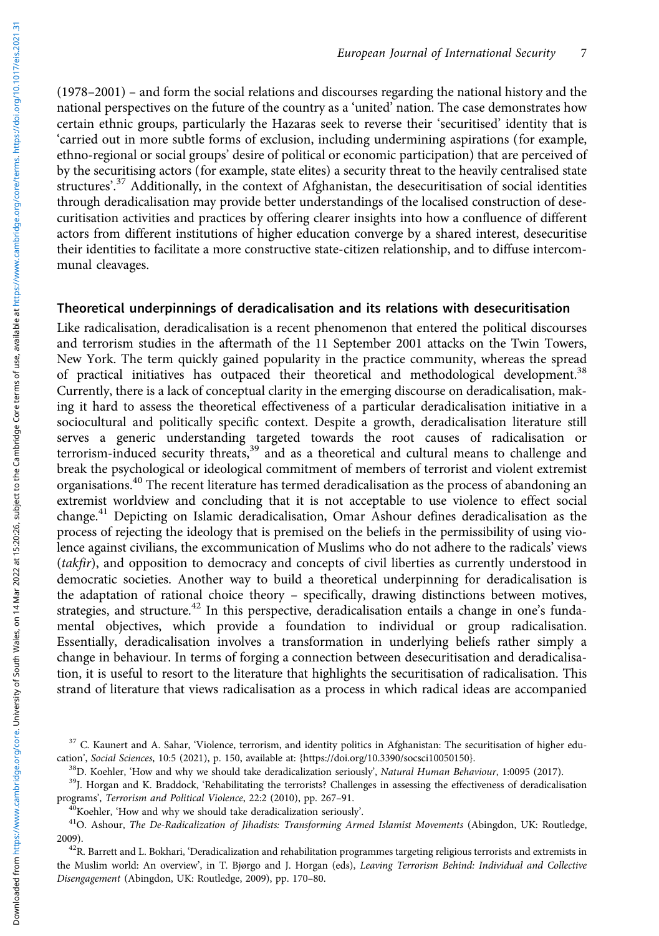(1978–2001) – and form the social relations and discourses regarding the national history and the national perspectives on the future of the country as a 'united' nation. The case demonstrates how certain ethnic groups, particularly the Hazaras seek to reverse their 'securitised' identity that is 'carried out in more subtle forms of exclusion, including undermining aspirations (for example, ethno-regional or social groups' desire of political or economic participation) that are perceived of by the securitising actors (for example, state elites) a security threat to the heavily centralised state structures'.<sup>37</sup> Additionally, in the context of Afghanistan, the desecuritisation of social identities through deradicalisation may provide better understandings of the localised construction of desecuritisation activities and practices by offering clearer insights into how a confluence of different actors from different institutions of higher education converge by a shared interest, desecuritise their identities to facilitate a more constructive state-citizen relationship, and to diffuse intercommunal cleavages.

#### Theoretical underpinnings of deradicalisation and its relations with desecuritisation

Like radicalisation, deradicalisation is a recent phenomenon that entered the political discourses and terrorism studies in the aftermath of the 11 September 2001 attacks on the Twin Towers, New York. The term quickly gained popularity in the practice community, whereas the spread of practical initiatives has outpaced their theoretical and methodological development.<sup>38</sup> Currently, there is a lack of conceptual clarity in the emerging discourse on deradicalisation, making it hard to assess the theoretical effectiveness of a particular deradicalisation initiative in a sociocultural and politically specific context. Despite a growth, deradicalisation literature still serves a generic understanding targeted towards the root causes of radicalisation or terrorism-induced security threats,<sup>39</sup> and as a theoretical and cultural means to challenge and break the psychological or ideological commitment of members of terrorist and violent extremist organisations.<sup>40</sup> The recent literature has termed deradicalisation as the process of abandoning an extremist worldview and concluding that it is not acceptable to use violence to effect social change.<sup>41</sup> Depicting on Islamic deradicalisation, Omar Ashour defines deradicalisation as the process of rejecting the ideology that is premised on the beliefs in the permissibility of using violence against civilians, the excommunication of Muslims who do not adhere to the radicals' views (takfir), and opposition to democracy and concepts of civil liberties as currently understood in democratic societies. Another way to build a theoretical underpinning for deradicalisation is the adaptation of rational choice theory – specifically, drawing distinctions between motives, strategies, and structure.<sup>42</sup> In this perspective, deradicalisation entails a change in one's fundamental objectives, which provide a foundation to individual or group radicalisation. Essentially, deradicalisation involves a transformation in underlying beliefs rather simply a change in behaviour. In terms of forging a connection between desecuritisation and deradicalisation, it is useful to resort to the literature that highlights the securitisation of radicalisation. This strand of literature that views radicalisation as a process in which radical ideas are accompanied

<sup>&</sup>lt;sup>37</sup> C. Kaunert and A. Sahar, 'Violence, terrorism, and identity politics in Afghanistan: The securitisation of higher edu-

cation', *Social Sciences*, 10:5 (2021), p. 150, available at: {<https://doi.org/10.3390/socsci10050150>}.<br><sup>38</sup>D. Koehler, 'How and why we should take deradicalization seriously', *Natural Human Behaviour*, 1:0095 (2017).<br><sup>3</sup>

<sup>&</sup>lt;sup>40</sup>Koehler, 'How and why we should take deradicalization seriously'.<br><sup>41</sup>O. Ashour, *The De-Radicalization of Jihadists: Transforming Armed Islamist Movements* (Abingdon, UK: Routledge, 2009).<br><sup>42</sup>R. Barrett and L. Bokhari, 'Deradicalization and rehabilitation programmes targeting religious terrorists and extremists in

the Muslim world: An overview', in T. Bjørgo and J. Horgan (eds), Leaving Terrorism Behind: Individual and Collective Disengagement (Abingdon, UK: Routledge, 2009), pp. 170–80.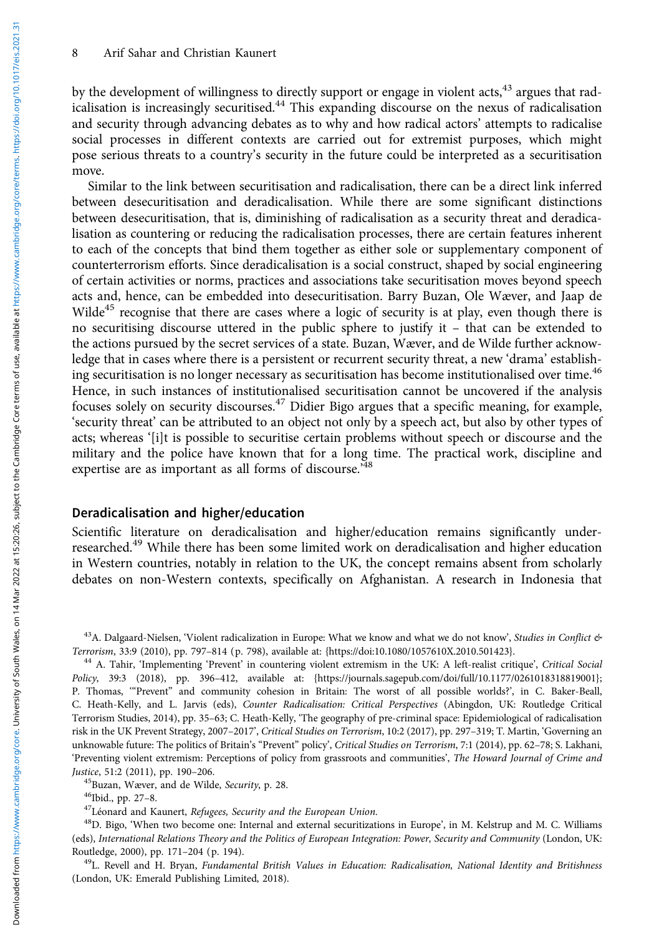by the development of willingness to directly support or engage in violent acts,<sup>43</sup> argues that radicalisation is increasingly securitised.<sup>44</sup> This expanding discourse on the nexus of radicalisation and security through advancing debates as to why and how radical actors' attempts to radicalise social processes in different contexts are carried out for extremist purposes, which might pose serious threats to a country's security in the future could be interpreted as a securitisation move.

Similar to the link between securitisation and radicalisation, there can be a direct link inferred between desecuritisation and deradicalisation. While there are some significant distinctions between desecuritisation, that is, diminishing of radicalisation as a security threat and deradicalisation as countering or reducing the radicalisation processes, there are certain features inherent to each of the concepts that bind them together as either sole or supplementary component of counterterrorism efforts. Since deradicalisation is a social construct, shaped by social engineering of certain activities or norms, practices and associations take securitisation moves beyond speech acts and, hence, can be embedded into desecuritisation. Barry Buzan, Ole Wæver, and Jaap de Wilde<sup>45</sup> recognise that there are cases where a logic of security is at play, even though there is no securitising discourse uttered in the public sphere to justify it – that can be extended to the actions pursued by the secret services of a state. Buzan, Wæver, and de Wilde further acknowledge that in cases where there is a persistent or recurrent security threat, a new 'drama' establishing securitisation is no longer necessary as securitisation has become institutionalised over time.<sup>46</sup> Hence, in such instances of institutionalised securitisation cannot be uncovered if the analysis focuses solely on security discourses.<sup>47</sup> Didier Bigo argues that a specific meaning, for example, 'security threat' can be attributed to an object not only by a speech act, but also by other types of acts; whereas '[i]t is possible to securitise certain problems without speech or discourse and the military and the police have known that for a long time. The practical work, discipline and expertise are as important as all forms of discourse.<sup>748</sup>

### Deradicalisation and higher/education

Scientific literature on deradicalisation and higher/education remains significantly underresearched.<sup>49</sup> While there has been some limited work on deradicalisation and higher education in Western countries, notably in relation to the UK, the concept remains absent from scholarly debates on non-Western contexts, specifically on Afghanistan. A research in Indonesia that

<sup>43</sup>A. Dalgaard-Nielsen, 'Violent radicalization in Europe: What we know and what we do not know', Studies in Conflict & Terrorism, 33:9 (2010), pp. 797-814 (p. 798), available at: {https://doi:10.1080/1057610X.2010.50142

<sup>44</sup> A. Tahir, 'Implementing 'Prevent' in countering violent extremism in the UK: A left-realist critique', Critical Social Policy, 39:3 (2018), pp. 396–412, available at: {<https://journals.sagepub.com/doi/full/10.1177/0261018318819001>}; P. Thomas, '"Prevent" and community cohesion in Britain: The worst of all possible worlds?', in C. Baker-Beall, C. Heath-Kelly, and L. Jarvis (eds), Counter Radicalisation: Critical Perspectives (Abingdon, UK: Routledge Critical Terrorism Studies, 2014), pp. 35–63; C. Heath-Kelly, 'The geography of pre-criminal space: Epidemiological of radicalisation risk in the UK Prevent Strategy, 2007–2017', Critical Studies on Terrorism, 10:2 (2017), pp. 297–319; T. Martin, 'Governing an unknowable future: The politics of Britain's "Prevent" policy', Critical Studies on Terrorism, 7:1 (2014), pp. 62–78; S. Lakhani, 'Preventing violent extremism: Perceptions of policy from grassroots and communities', The Howard Journal of Crime and Justice, 51:2 (2011), pp. 190–206.<br><sup>45</sup>Buzan, Wæver, and de Wilde, *Security*, p. 28.<br><sup>46</sup>Ibid., pp. 27–8.<br><sup>47</sup>Léonard and Kaunert, *Refugees, Security and the European Union*.<br><sup>48</sup>D. Bigo, 'When two become one: Internal a

(eds), International Relations Theory and the Politics of European Integration: Power, Security and Community (London, UK: Routledge, 2000), pp. 171–204 (p. 194).<br><sup>49</sup>L. Revell and H. Bryan, *Fundamental British Values in Education: Radicalisation, National Identity and Britishness* 

(London, UK: Emerald Publishing Limited, 2018).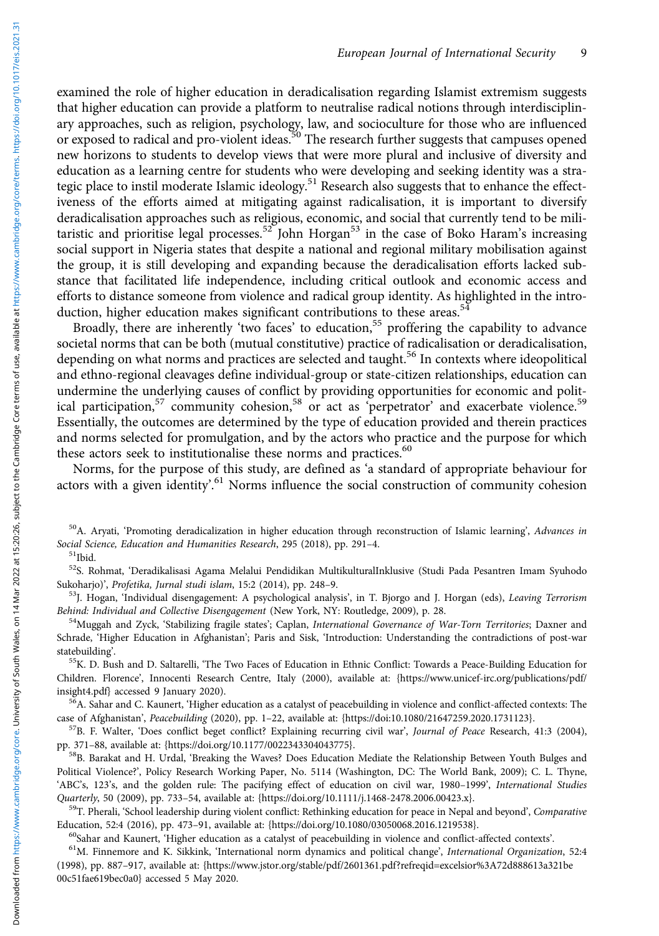examined the role of higher education in deradicalisation regarding Islamist extremism suggests that higher education can provide a platform to neutralise radical notions through interdisciplinary approaches, such as religion, psychology, law, and socioculture for those who are influenced or exposed to radical and pro-violent ideas.<sup>50</sup> The research further suggests that campuses opened new horizons to students to develop views that were more plural and inclusive of diversity and education as a learning centre for students who were developing and seeking identity was a strategic place to instil moderate Islamic ideology.<sup>51</sup> Research also suggests that to enhance the effectiveness of the efforts aimed at mitigating against radicalisation, it is important to diversify deradicalisation approaches such as religious, economic, and social that currently tend to be militaristic and prioritise legal processes.<sup>52</sup> John Horgan<sup>53</sup> in the case of Boko Haram's increasing social support in Nigeria states that despite a national and regional military mobilisation against the group, it is still developing and expanding because the deradicalisation efforts lacked substance that facilitated life independence, including critical outlook and economic access and efforts to distance someone from violence and radical group identity. As highlighted in the introduction, higher education makes significant contributions to these areas.<sup>54</sup>

Broadly, there are inherently 'two faces' to education,<sup>55</sup> proffering the capability to advance societal norms that can be both (mutual constitutive) practice of radicalisation or deradicalisation, depending on what norms and practices are selected and taught.<sup>56</sup> In contexts where ideopolitical and ethno-regional cleavages define individual-group or state-citizen relationships, education can undermine the underlying causes of conflict by providing opportunities for economic and political participation,<sup>57</sup> community cohesion,<sup>58</sup> or act as 'perpetrator' and exacerbate violence.<sup>59</sup> Essentially, the outcomes are determined by the type of education provided and therein practices and norms selected for promulgation, and by the actors who practice and the purpose for which these actors seek to institutionalise these norms and practices.<sup>60</sup>

Norms, for the purpose of this study, are defined as 'a standard of appropriate behaviour for actors with a given identity'.<sup>61</sup> Norms influence the social construction of community cohesion

<sup>50</sup>A. Aryati, 'Promoting deradicalization in higher education through reconstruction of Islamic learning', Advances in Social Science, Education and Humanities Research, 295 (2018), pp. 291–4.<br><sup>51</sup>Ibid.

52S. Rohmat, 'Deradikalisasi Agama Melalui Pendidikan MultikulturalInklusive (Studi Pada Pesantren Imam Syuhodo

Sukoharjo)', *Profetika, Jurnal studi islam*, 15:2 (2014), pp. 248–9.<br><sup>53</sup>J. Hogan, 'Individual disengagement: A psychological analysis', in T. Bjorgo and J. Horgan (eds), *Leaving Terrorism*<br>Behind: Individual and Collect

<sup>54</sup>Muggah and Zyck, 'Stabilizing fragile states'; Caplan, International Governance of War-Torn Territories; Daxner and Schrade, 'Higher Education in Afghanistan'; Paris and Sisk, 'Introduction: Understanding the contradictions of post-war statebuilding'.<br><sup>55</sup>K. D. Bush and D. Saltarelli, 'The Two Faces of Education in Ethnic Conflict: Towards a Peace-Building Education for

Children. Florence', Innocenti Research Centre, Italy (2000), available at: {[https://www.unicef-irc.org/publications/pdf/](https://www.unicef-irc.org/publications/pdf/insight4.pdf)

<sup>56</sup>A. Sahar and C. Kaunert, 'Higher education as a catalyst of peacebuilding in violence and conflict-affected contexts: The

case of Afghanistan', *Peacebuilding* (2020), pp. 1–22, available at: [{https://doi:10.1080/21647259.2020.1731123](https://doi:10.1080/21647259.2020.1731123)}.<br><sup>57</sup>B. F. Walter, 'Does conflict beget conflict? Explaining recurring civil war', *Journal of Peace* Resear

<sup>58</sup>B. Barakat and H. Urdal, 'Breaking the Waves? Does Education Mediate the Relationship Between Youth Bulges and Political Violence?', Policy Research Working Paper, No. 5114 (Washington, DC: The World Bank, 2009); C. L. Thyne, 'ABC's, 123's, and the golden rule: The pacifying effect of education on civil war, 1980–1999', International Studies Quarterly, 50 (2009), pp. 733–54, available at: {[https://doi.org/10.1111/j.1468-2478.2006.00423.x}](https://doi.org/10.1111/j.1468-2478.2006.00423.x).<br><sup>59</sup>T. Pherali, 'School leadership during violent conflict: Rethinking education for peace in Nepal and beyond', Comparati

Education, 52:4 (2016), pp. 473–91, available at: [{https://doi.org/10.1080/03050068.2016.1219538](https://doi.org/10.1080/03050068.2016.1219538)}.<br><sup>60</sup>Sahar and Kaunert, 'Higher education as a catalyst of peacebuilding in violence and conflict-affected contexts'.<br><sup>61</sup>M.

(1998), pp. 887–917, available at: {[https://www.jstor.org/stable/pdf/2601361.pdf?refreqid=excelsior%3A72d888613a321be](https://www.jstor.org/stable/pdf/2601361.pdf?refreqid=excelsior%3A72d888613a321be00c51fae619bec0a0) [00c51fae619bec0a0](https://www.jstor.org/stable/pdf/2601361.pdf?refreqid=excelsior%3A72d888613a321be00c51fae619bec0a0)} accessed 5 May 2020.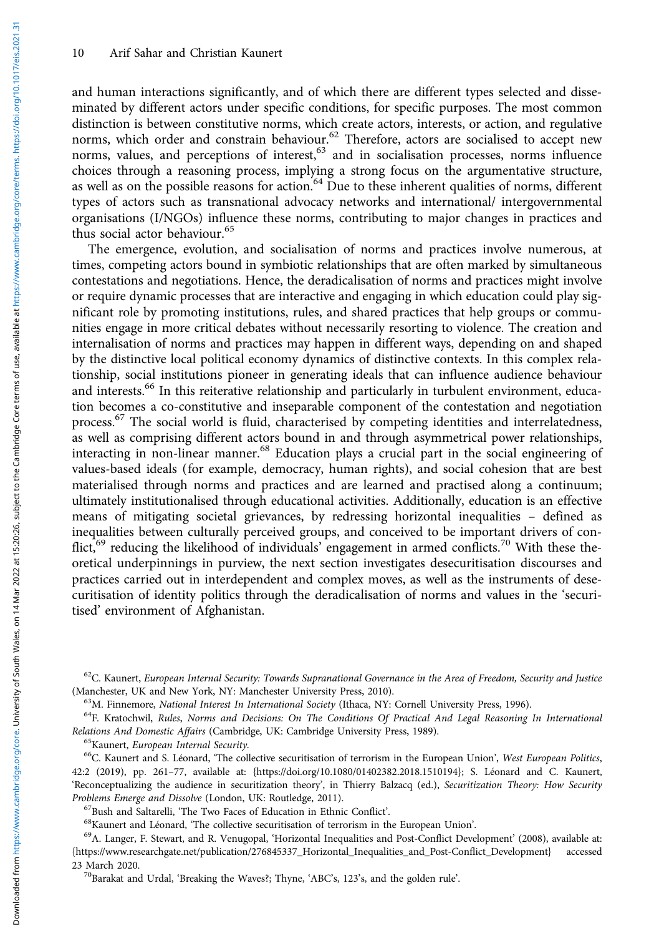and human interactions significantly, and of which there are different types selected and disseminated by different actors under specific conditions, for specific purposes. The most common distinction is between constitutive norms, which create actors, interests, or action, and regulative norms, which order and constrain behaviour.<sup>62</sup> Therefore, actors are socialised to accept new norms, values, and perceptions of interest,<sup>63</sup> and in socialisation processes, norms influence choices through a reasoning process, implying a strong focus on the argumentative structure, as well as on the possible reasons for action.<sup>64</sup> Due to these inherent qualities of norms, different types of actors such as transnational advocacy networks and international/ intergovernmental organisations (I/NGOs) influence these norms, contributing to major changes in practices and thus social actor behaviour.<sup>65</sup>

The emergence, evolution, and socialisation of norms and practices involve numerous, at times, competing actors bound in symbiotic relationships that are often marked by simultaneous contestations and negotiations. Hence, the deradicalisation of norms and practices might involve or require dynamic processes that are interactive and engaging in which education could play significant role by promoting institutions, rules, and shared practices that help groups or communities engage in more critical debates without necessarily resorting to violence. The creation and internalisation of norms and practices may happen in different ways, depending on and shaped by the distinctive local political economy dynamics of distinctive contexts. In this complex relationship, social institutions pioneer in generating ideals that can influence audience behaviour and interests.<sup>66</sup> In this reiterative relationship and particularly in turbulent environment, education becomes a co-constitutive and inseparable component of the contestation and negotiation process.<sup>67</sup> The social world is fluid, characterised by competing identities and interrelatedness, as well as comprising different actors bound in and through asymmetrical power relationships, interacting in non-linear manner.<sup>68</sup> Education plays a crucial part in the social engineering of values-based ideals (for example, democracy, human rights), and social cohesion that are best materialised through norms and practices and are learned and practised along a continuum; ultimately institutionalised through educational activities. Additionally, education is an effective means of mitigating societal grievances, by redressing horizontal inequalities – defined as inequalities between culturally perceived groups, and conceived to be important drivers of conflict,<sup>69</sup> reducing the likelihood of individuals' engagement in armed conflicts.<sup>70</sup> With these theoretical underpinnings in purview, the next section investigates desecuritisation discourses and practices carried out in interdependent and complex moves, as well as the instruments of desecuritisation of identity politics through the deradicalisation of norms and values in the 'securitised' environment of Afghanistan.

 $62$ C. Kaunert, European Internal Security: Towards Supranational Governance in the Area of Freedom, Security and Justice (Manchester, UK and New York, NY: Manchester University Press, 2010).

<sup>63</sup>M. Finnemore, *National Interest In International Society* (Ithaca, NY: Cornell University Press, 1996).<br><sup>64</sup>F. Kratochwil, *Rules, Norms and Decisions: On The Conditions Of Practical And Legal Reasoning In Internatio* 

<sup>65</sup>Kaunert, *European Internal Security*.<br><sup>66</sup>C. Kaunert and S. Léonard, 'The collective securitisation of terrorism in the European Union', *West European Politics*, 42:2 (2019), pp. 261–77, available at: [{https://doi.org/10.1080/01402382.2018.1510194}](https://doi.org/10.1080/01402382.2018.1510194); S. Léonard and C. Kaunert, 'Reconceptualizing the audience in securitization theory', in Thierry Balzacq (ed.), Securitization Theory: How Security Problems Emerge and Dissolve (London, UK: Routledge, 2011).<br><sup>67</sup>Bush and Saltarelli, 'The Two Faces of Education in Ethnic Conflict'.<br><sup>68</sup>Kaunert and Léonard, 'The collective securitisation of terrorism in the European Uni

{[https://www.researchgate.net/publication/276845337\\_Horizontal\\_Inequalities\\_and\\_Post-Conflict\\_Development](https://www.researchgate.net/publication/276845337_Horizontal_Inequalities_and_Post-Conflict_Development)} accessed

<sup>70</sup>Barakat and Urdal, 'Breaking the Waves?; Thyne, 'ABC's, 123's, and the golden rule'.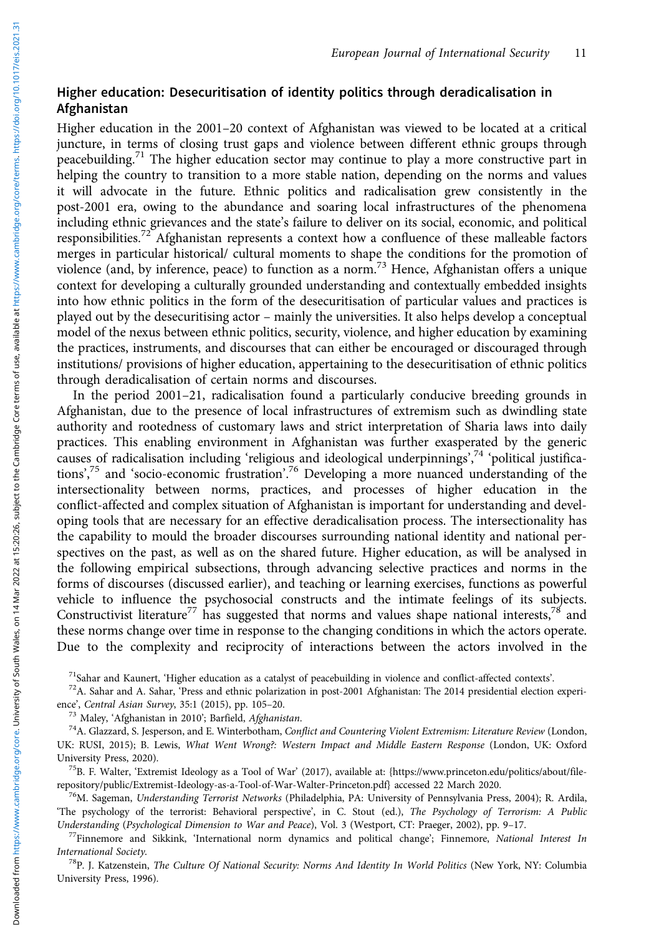# Higher education: Desecuritisation of identity politics through deradicalisation in Afghanistan

Higher education in the 2001–20 context of Afghanistan was viewed to be located at a critical juncture, in terms of closing trust gaps and violence between different ethnic groups through peacebuilding.<sup>71</sup> The higher education sector may continue to play a more constructive part in helping the country to transition to a more stable nation, depending on the norms and values it will advocate in the future. Ethnic politics and radicalisation grew consistently in the post-2001 era, owing to the abundance and soaring local infrastructures of the phenomena including ethnic grievances and the state's failure to deliver on its social, economic, and political responsibilities.<sup>72</sup> Afghanistan represents a context how a confluence of these malleable factors merges in particular historical/ cultural moments to shape the conditions for the promotion of violence (and, by inference, peace) to function as a norm.<sup>73</sup> Hence, Afghanistan offers a unique context for developing a culturally grounded understanding and contextually embedded insights into how ethnic politics in the form of the desecuritisation of particular values and practices is played out by the desecuritising actor – mainly the universities. It also helps develop a conceptual model of the nexus between ethnic politics, security, violence, and higher education by examining the practices, instruments, and discourses that can either be encouraged or discouraged through institutions/ provisions of higher education, appertaining to the desecuritisation of ethnic politics through deradicalisation of certain norms and discourses.

In the period 2001–21, radicalisation found a particularly conducive breeding grounds in Afghanistan, due to the presence of local infrastructures of extremism such as dwindling state authority and rootedness of customary laws and strict interpretation of Sharia laws into daily practices. This enabling environment in Afghanistan was further exasperated by the generic causes of radicalisation including 'religious and ideological underpinnings', <sup>74</sup> 'political justifications', <sup>75</sup> and 'socio-economic frustration'. <sup>76</sup> Developing a more nuanced understanding of the intersectionality between norms, practices, and processes of higher education in the conflict-affected and complex situation of Afghanistan is important for understanding and developing tools that are necessary for an effective deradicalisation process. The intersectionality has the capability to mould the broader discourses surrounding national identity and national perspectives on the past, as well as on the shared future. Higher education, as will be analysed in the following empirical subsections, through advancing selective practices and norms in the forms of discourses (discussed earlier), and teaching or learning exercises, functions as powerful vehicle to influence the psychosocial constructs and the intimate feelings of its subjects. Constructivist literature<sup>77</sup> has suggested that norms and values shape national interests,<sup>78</sup> and these norms change over time in response to the changing conditions in which the actors operate. Due to the complexity and reciprocity of interactions between the actors involved in the

<sup>71</sup>Sahar and Kaunert, 'Higher education as a catalyst of peacebuilding in violence and conflict-affected contexts'.<br><sup>72</sup>A. Sahar and A. Sahar, 'Press and ethnic polarization in post-2001 Afghanistan: The 2014 presidentia

ence', *Central Asian Survey*, 35:1 (2015), pp. 105–20.<br><sup>73</sup> Maley, 'Afghanistan in 2010'; Barfield, *Afghanistan.*<br><sup>74</sup>A. Glazzard, S. Jesperson, and E. Winterbotham, *Conflict and Countering Violent Extremism: Literature* 

UK: RUSI, 2015); B. Lewis, What Went Wrong?: Western Impact and Middle Eastern Response (London, UK: Oxford

University Press, 2020).<br><sup>75</sup>B. F. Walter, 'Extremist Ideology as a Tool of War' (2017), available at: {https://www.princeton.edu/politics/about/file-<br>repository/public/Extremist-Ideology-as-a-Tool-of-War-Walter-Princeton.

<sup>76</sup>M. Sageman, Understanding Terrorist Networks (Philadelphia, PA: University of Pennsylvania Press, 2004); R. Ardila, 'The psychology of the terrorist: Behavioral perspective', in C. Stout (ed.), The Psychology of Terrorism: A Public Understanding (Psychological Dimension to War and Peace), Vol. 3 (Westport, CT: Praeger, 2002), pp. 9–17.<br><sup>77</sup>Finnemore and Sikkink, 'International norm dynamics and political change'; Finnemore, National Interest In

International Society.<br><sup>78</sup>P. J. Katzenstein, *The Culture Of National Security: Norms And Identity In World Politics* (New York, NY: Columbia

University Press, 1996).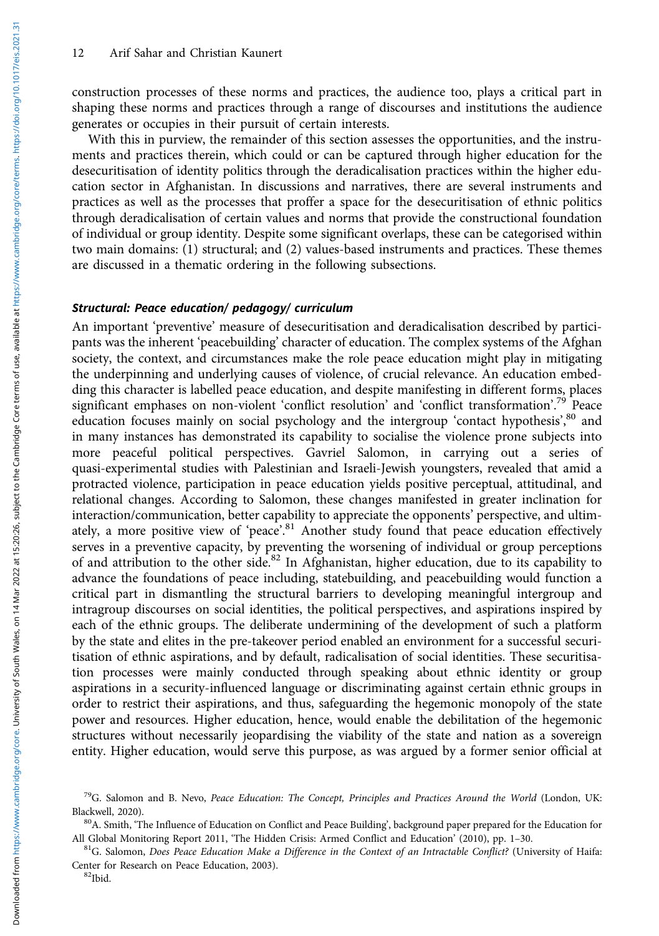construction processes of these norms and practices, the audience too, plays a critical part in shaping these norms and practices through a range of discourses and institutions the audience generates or occupies in their pursuit of certain interests.

With this in purview, the remainder of this section assesses the opportunities, and the instruments and practices therein, which could or can be captured through higher education for the desecuritisation of identity politics through the deradicalisation practices within the higher education sector in Afghanistan. In discussions and narratives, there are several instruments and practices as well as the processes that proffer a space for the desecuritisation of ethnic politics through deradicalisation of certain values and norms that provide the constructional foundation of individual or group identity. Despite some significant overlaps, these can be categorised within two main domains: (1) structural; and (2) values-based instruments and practices. These themes are discussed in a thematic ordering in the following subsections.

#### Structural: Peace education/ pedagogy/ curriculum

An important 'preventive' measure of desecuritisation and deradicalisation described by participants was the inherent 'peacebuilding' character of education. The complex systems of the Afghan society, the context, and circumstances make the role peace education might play in mitigating the underpinning and underlying causes of violence, of crucial relevance. An education embedding this character is labelled peace education, and despite manifesting in different forms, places significant emphases on non-violent 'conflict resolution' and 'conflict transformation'.<sup>79</sup> Peace education focuses mainly on social psychology and the intergroup 'contact hypothesis',<sup>80</sup> and in many instances has demonstrated its capability to socialise the violence prone subjects into more peaceful political perspectives. Gavriel Salomon, in carrying out a series of quasi-experimental studies with Palestinian and Israeli-Jewish youngsters, revealed that amid a protracted violence, participation in peace education yields positive perceptual, attitudinal, and relational changes. According to Salomon, these changes manifested in greater inclination for interaction/communication, better capability to appreciate the opponents' perspective, and ultimately, a more positive view of 'peace'.<sup>81</sup> Another study found that peace education effectively serves in a preventive capacity, by preventing the worsening of individual or group perceptions of and attribution to the other side.<sup>82</sup> In Afghanistan, higher education, due to its capability to advance the foundations of peace including, statebuilding, and peacebuilding would function a critical part in dismantling the structural barriers to developing meaningful intergroup and intragroup discourses on social identities, the political perspectives, and aspirations inspired by each of the ethnic groups. The deliberate undermining of the development of such a platform by the state and elites in the pre-takeover period enabled an environment for a successful securitisation of ethnic aspirations, and by default, radicalisation of social identities. These securitisation processes were mainly conducted through speaking about ethnic identity or group aspirations in a security-influenced language or discriminating against certain ethnic groups in order to restrict their aspirations, and thus, safeguarding the hegemonic monopoly of the state power and resources. Higher education, hence, would enable the debilitation of the hegemonic structures without necessarily jeopardising the viability of the state and nation as a sovereign entity. Higher education, would serve this purpose, as was argued by a former senior official at

 $^{79}$ G. Salomon and B. Nevo, *Peace Education: The Concept, Principles and Practices Around the World* (London, UK: Blackwell, 2020).

<sup>&</sup>lt;sup>80</sup>A. Smith, 'The Influence of Education on Conflict and Peace Building', background paper prepared for the Education for All Global Monitoring Report 2011, 'The Hidden Crisis: Armed Conflict and Education' (2010), pp. 1–30.  ${}^{81}G$ . Salomon, *Does Peace Education Make a Difference in the Context of an Intractable Conflict?* (University of

Center for Research on Peace Education, 2003).<br><sup>82</sup>Ibid.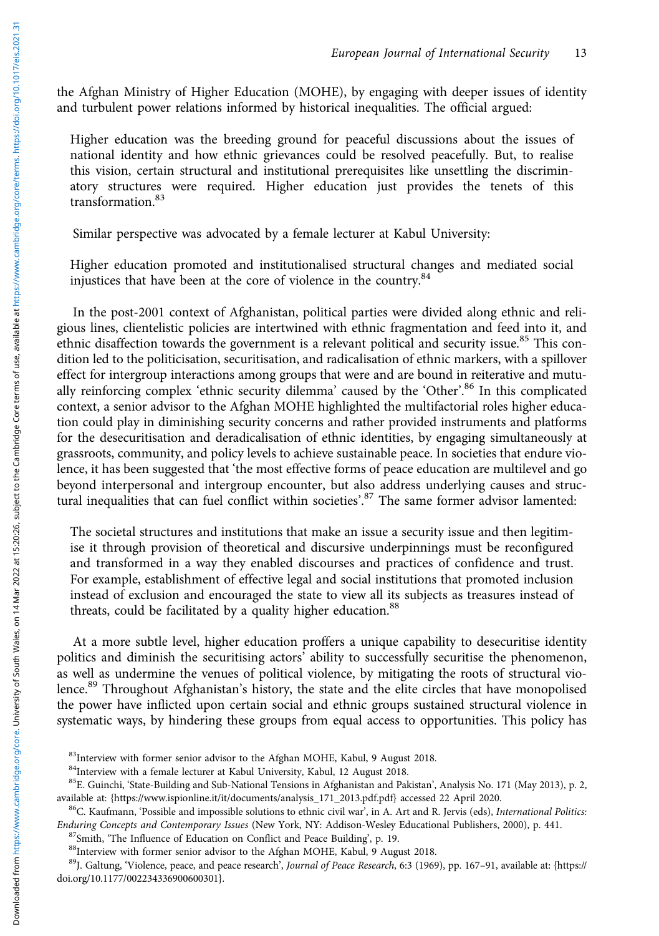the Afghan Ministry of Higher Education (MOHE), by engaging with deeper issues of identity and turbulent power relations informed by historical inequalities. The official argued:

Higher education was the breeding ground for peaceful discussions about the issues of national identity and how ethnic grievances could be resolved peacefully. But, to realise this vision, certain structural and institutional prerequisites like unsettling the discriminatory structures were required. Higher education just provides the tenets of this transformation.<sup>83</sup>

Similar perspective was advocated by a female lecturer at Kabul University:

Higher education promoted and institutionalised structural changes and mediated social injustices that have been at the core of violence in the country.<sup>84</sup>

In the post-2001 context of Afghanistan, political parties were divided along ethnic and religious lines, clientelistic policies are intertwined with ethnic fragmentation and feed into it, and ethnic disaffection towards the government is a relevant political and security issue.<sup>85</sup> This condition led to the politicisation, securitisation, and radicalisation of ethnic markers, with a spillover effect for intergroup interactions among groups that were and are bound in reiterative and mutually reinforcing complex 'ethnic security dilemma' caused by the 'Other'.<sup>86</sup> In this complicated context, a senior advisor to the Afghan MOHE highlighted the multifactorial roles higher education could play in diminishing security concerns and rather provided instruments and platforms for the desecuritisation and deradicalisation of ethnic identities, by engaging simultaneously at grassroots, community, and policy levels to achieve sustainable peace. In societies that endure violence, it has been suggested that 'the most effective forms of peace education are multilevel and go beyond interpersonal and intergroup encounter, but also address underlying causes and structural inequalities that can fuel conflict within societies'. <sup>87</sup> The same former advisor lamented:

The societal structures and institutions that make an issue a security issue and then legitimise it through provision of theoretical and discursive underpinnings must be reconfigured and transformed in a way they enabled discourses and practices of confidence and trust. For example, establishment of effective legal and social institutions that promoted inclusion instead of exclusion and encouraged the state to view all its subjects as treasures instead of threats, could be facilitated by a quality higher education.<sup>88</sup>

At a more subtle level, higher education proffers a unique capability to desecuritise identity politics and diminish the securitising actors<sup>'</sup> ability to successfully securitise the phenomenon, as well as undermine the venues of political violence, by mitigating the roots of structural violence.<sup>89</sup> Throughout Afghanistan's history, the state and the elite circles that have monopolised the power have inflicted upon certain social and ethnic groups sustained structural violence in systematic ways, by hindering these groups from equal access to opportunities. This policy has

<sup>&</sup>lt;sup>83</sup>Interview with former senior advisor to the Afghan MOHE, Kabul, 9 August 2018.

<sup>84</sup>Interview with a female lecturer at Kabul University, Kabul, 12 August 2018.

<sup>&</sup>lt;sup>85</sup>E. Guinchi, 'State-Building and Sub-National Tensions in Afghanistan and Pakistan', Analysis No. 171 (May 2013), p. 2, available at: [{https://www.ispionline.it/it/documents/analysis\\_171\\_2013.pdf.pdf](https://www.ispionline.it/it/documents/analysis_171_2013.pdf.pdf)} accessed 22 April 2020.<br><sup>86</sup>C. Kaufmann, 'Possible and impossible solutions to ethnic civil war', in A. Art and R. Jervis (eds), *Internation* 

Enduring Concepts and Contemporary Issues (New York, NY: Addison-Wesley Educational Publishers, 2000), p. 441.<br><sup>87</sup>Smith, 'The Influence of Education on Conflict and Peace Building', p. 19.<br><sup>88</sup>Interview with former senior

<sup>&</sup>lt;sup>89</sup>J. Galtung, 'Violence, peace, and peace research', Journal of Peace Research, 6:3 (1969), pp. 167-91, available at: [{https://](https://doi.org/10.1177%2F002234336900600301) [doi.org/10.1177/002234336900600301}](https://doi.org/10.1177%2F002234336900600301).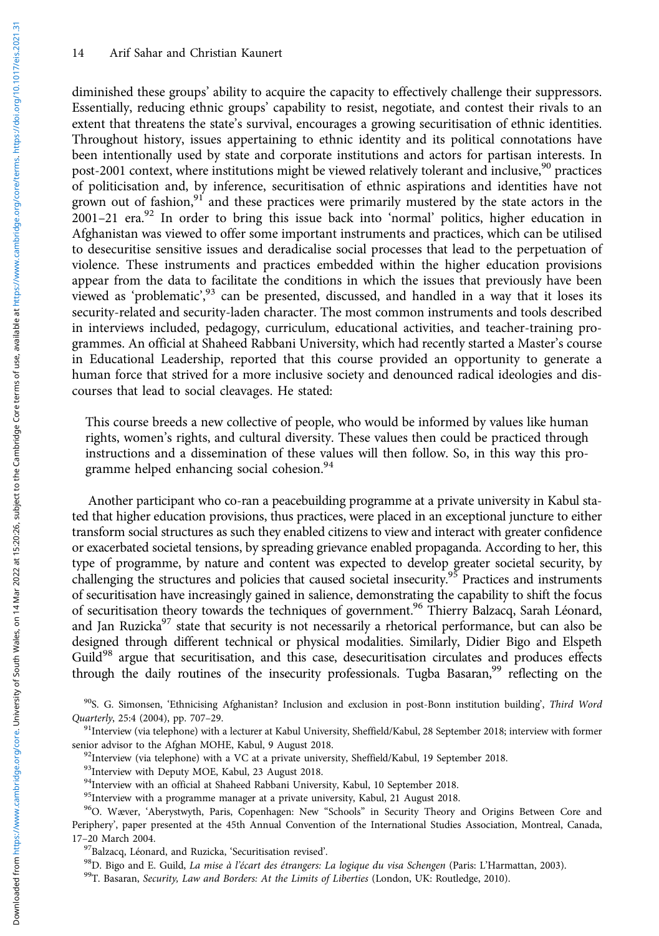diminished these groups' ability to acquire the capacity to effectively challenge their suppressors. Essentially, reducing ethnic groups' capability to resist, negotiate, and contest their rivals to an extent that threatens the state's survival, encourages a growing securitisation of ethnic identities. Throughout history, issues appertaining to ethnic identity and its political connotations have been intentionally used by state and corporate institutions and actors for partisan interests. In post-2001 context, where institutions might be viewed relatively tolerant and inclusive,<sup>90</sup> practices of politicisation and, by inference, securitisation of ethnic aspirations and identities have not grown out of fashion, $91$  and these practices were primarily mustered by the state actors in the  $2001-21$  era.<sup>92</sup> In order to bring this issue back into 'normal' politics, higher education in Afghanistan was viewed to offer some important instruments and practices, which can be utilised to desecuritise sensitive issues and deradicalise social processes that lead to the perpetuation of violence. These instruments and practices embedded within the higher education provisions appear from the data to facilitate the conditions in which the issues that previously have been viewed as 'problematic',<sup>93</sup> can be presented, discussed, and handled in a way that it loses its security-related and security-laden character. The most common instruments and tools described in interviews included, pedagogy, curriculum, educational activities, and teacher-training programmes. An official at Shaheed Rabbani University, which had recently started a Master's course in Educational Leadership, reported that this course provided an opportunity to generate a human force that strived for a more inclusive society and denounced radical ideologies and discourses that lead to social cleavages. He stated:

This course breeds a new collective of people, who would be informed by values like human rights, women's rights, and cultural diversity. These values then could be practiced through instructions and a dissemination of these values will then follow. So, in this way this programme helped enhancing social cohesion.<sup>94</sup>

Another participant who co-ran a peacebuilding programme at a private university in Kabul stated that higher education provisions, thus practices, were placed in an exceptional juncture to either transform social structures as such they enabled citizens to view and interact with greater confidence or exacerbated societal tensions, by spreading grievance enabled propaganda. According to her, this type of programme, by nature and content was expected to develop greater societal security, by challenging the structures and policies that caused societal insecurity.<sup>95</sup> Practices and instruments of securitisation have increasingly gained in salience, demonstrating the capability to shift the focus of securitisation theory towards the techniques of government.<sup>96</sup> Thierry Balzacq, Sarah Léonard, and Jan Ruzicka<sup>97</sup> state that security is not necessarily a rhetorical performance, but can also be designed through different technical or physical modalities. Similarly, Didier Bigo and Elspeth Guild<sup>98</sup> argue that securitisation, and this case, desecuritisation circulates and produces effects through the daily routines of the insecurity professionals. Tugba Basaran,<sup>99</sup> reflecting on the

90S. G. Simonsen, 'Ethnicising Afghanistan? Inclusion and exclusion in post-Bonn institution building', Third Word Quarterly, 25:4 (2004), pp. 707–29.<br><sup>91</sup>Interview (via telephone) with a lecturer at Kabul University, Sheffield/Kabul, 28 September 2018; interview with former

senior advisor to the Afghan MOHE, Kabul, 9 August 2018.<br><sup>92</sup>Interview (via telephone) with a VC at a private university, Sheffield/Kabul, 19 September 2018.

<sup>93</sup>Interview with Deputy MOE, Kabul, 23 August 2018.

94Interview with an official at Shaheed Rabbani University, Kabul, 10 September 2018.

<sup>95</sup>Interview with a programme manager at a private university, Kabul, 21 August 2018.

<sup>96</sup>O. Wæver, 'Aberystwyth, Paris, Copenhagen: New "Schools" in Security Theory and Origins Between Core and Periphery', paper presented at the 45th Annual Convention of the International Studies Association, Montreal, Canada, 17–20 March 2004.

<sup>97</sup>Balzacq, Léonard, and Ruzicka, 'Securitisation revised'.<br><sup>98</sup>D. Bigo and E. Guild, *La mise à l'écart des étrangers: La logique du visa Schengen* (Paris: L'Harmattan, 2003).<br><sup>99</sup>T. Basaran, *Security, Law and Borders:*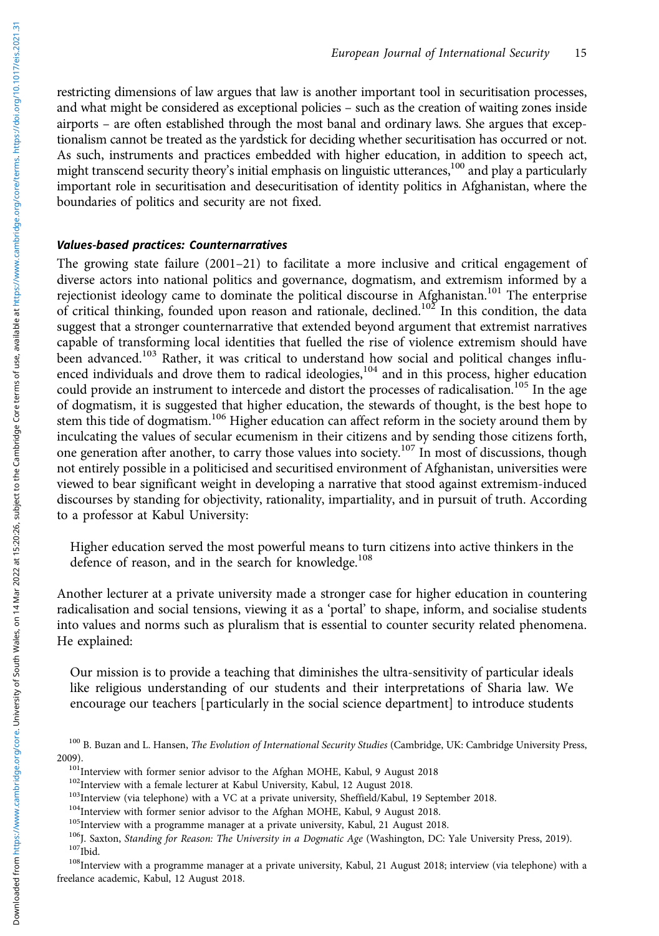restricting dimensions of law argues that law is another important tool in securitisation processes, and what might be considered as exceptional policies – such as the creation of waiting zones inside airports – are often established through the most banal and ordinary laws. She argues that exceptionalism cannot be treated as the yardstick for deciding whether securitisation has occurred or not. As such, instruments and practices embedded with higher education, in addition to speech act, might transcend security theory's initial emphasis on linguistic utterances,<sup>100</sup> and play a particularly important role in securitisation and desecuritisation of identity politics in Afghanistan, where the boundaries of politics and security are not fixed.

# Values-based practices: Counternarratives

The growing state failure (2001–21) to facilitate a more inclusive and critical engagement of diverse actors into national politics and governance, dogmatism, and extremism informed by a rejectionist ideology came to dominate the political discourse in Afghanistan.<sup>101</sup> The enterprise of critical thinking, founded upon reason and rationale, declined.<sup>102</sup> In this condition, the data suggest that a stronger counternarrative that extended beyond argument that extremist narratives capable of transforming local identities that fuelled the rise of violence extremism should have been advanced.<sup>103</sup> Rather, it was critical to understand how social and political changes influenced individuals and drove them to radical ideologies,<sup>104</sup> and in this process, higher education could provide an instrument to intercede and distort the processes of radicalisation.<sup>105</sup> In the age of dogmatism, it is suggested that higher education, the stewards of thought, is the best hope to stem this tide of dogmatism.<sup>106</sup> Higher education can affect reform in the society around them by inculcating the values of secular ecumenism in their citizens and by sending those citizens forth, one generation after another, to carry those values into society.<sup>107</sup> In most of discussions, though not entirely possible in a politicised and securitised environment of Afghanistan, universities were viewed to bear significant weight in developing a narrative that stood against extremism-induced discourses by standing for objectivity, rationality, impartiality, and in pursuit of truth. According to a professor at Kabul University:

Higher education served the most powerful means to turn citizens into active thinkers in the defence of reason, and in the search for knowledge.<sup>108</sup>

Another lecturer at a private university made a stronger case for higher education in countering radicalisation and social tensions, viewing it as a 'portal' to shape, inform, and socialise students into values and norms such as pluralism that is essential to counter security related phenomena. He explained:

Our mission is to provide a teaching that diminishes the ultra-sensitivity of particular ideals like religious understanding of our students and their interpretations of Sharia law. We encourage our teachers [particularly in the social science department] to introduce students

freelance academic, Kabul, 12 August 2018.

<sup>&</sup>lt;sup>100</sup> B. Buzan and L. Hansen, The Evolution of International Security Studies (Cambridge, UK: Cambridge University Press,

<sup>2009).&</sup>lt;br>
<sup>101</sup>Interview with former senior advisor to the Afghan MOHE, Kabul, 9 August 2018<br>
<sup>102</sup>Interview with a female lecturer at Kabul University, Kabul, 12 August 2018.<br>
<sup>103</sup>Interview (via telephone) with a VC at a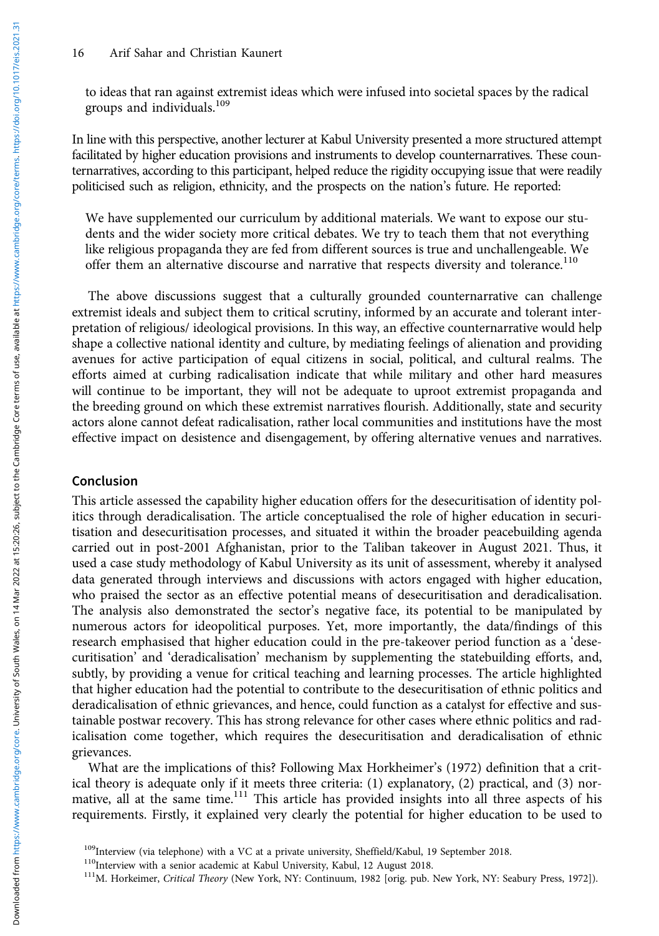to ideas that ran against extremist ideas which were infused into societal spaces by the radical groups and individuals.109

In line with this perspective, another lecturer at Kabul University presented a more structured attempt facilitated by higher education provisions and instruments to develop counternarratives. These counternarratives, according to this participant, helped reduce the rigidity occupying issue that were readily politicised such as religion, ethnicity, and the prospects on the nation's future. He reported:

We have supplemented our curriculum by additional materials. We want to expose our students and the wider society more critical debates. We try to teach them that not everything like religious propaganda they are fed from different sources is true and unchallengeable. We offer them an alternative discourse and narrative that respects diversity and tolerance.<sup>110</sup>

The above discussions suggest that a culturally grounded counternarrative can challenge extremist ideals and subject them to critical scrutiny, informed by an accurate and tolerant interpretation of religious/ ideological provisions. In this way, an effective counternarrative would help shape a collective national identity and culture, by mediating feelings of alienation and providing avenues for active participation of equal citizens in social, political, and cultural realms. The efforts aimed at curbing radicalisation indicate that while military and other hard measures will continue to be important, they will not be adequate to uproot extremist propaganda and the breeding ground on which these extremist narratives flourish. Additionally, state and security actors alone cannot defeat radicalisation, rather local communities and institutions have the most effective impact on desistence and disengagement, by offering alternative venues and narratives.

#### Conclusion

This article assessed the capability higher education offers for the desecuritisation of identity politics through deradicalisation. The article conceptualised the role of higher education in securitisation and desecuritisation processes, and situated it within the broader peacebuilding agenda carried out in post-2001 Afghanistan, prior to the Taliban takeover in August 2021. Thus, it used a case study methodology of Kabul University as its unit of assessment, whereby it analysed data generated through interviews and discussions with actors engaged with higher education, who praised the sector as an effective potential means of desecuritisation and deradicalisation. The analysis also demonstrated the sector's negative face, its potential to be manipulated by numerous actors for ideopolitical purposes. Yet, more importantly, the data/findings of this research emphasised that higher education could in the pre-takeover period function as a 'desecuritisation' and 'deradicalisation' mechanism by supplementing the statebuilding efforts, and, subtly, by providing a venue for critical teaching and learning processes. The article highlighted that higher education had the potential to contribute to the desecuritisation of ethnic politics and deradicalisation of ethnic grievances, and hence, could function as a catalyst for effective and sustainable postwar recovery. This has strong relevance for other cases where ethnic politics and radicalisation come together, which requires the desecuritisation and deradicalisation of ethnic grievances.

What are the implications of this? Following Max Horkheimer's (1972) definition that a critical theory is adequate only if it meets three criteria: (1) explanatory, (2) practical, and (3) normative, all at the same time.<sup>111</sup> This article has provided insights into all three aspects of his requirements. Firstly, it explained very clearly the potential for higher education to be used to

<sup>&</sup>lt;sup>109</sup>Interview (via telephone) with a VC at a private university, Sheffield/Kabul, 19 September 2018.<br><sup>110</sup>Interview with a senior academic at Kabul University, Kabul, 12 August 2018.<br><sup>111</sup>M. Horkeimer, *Critical Theory* (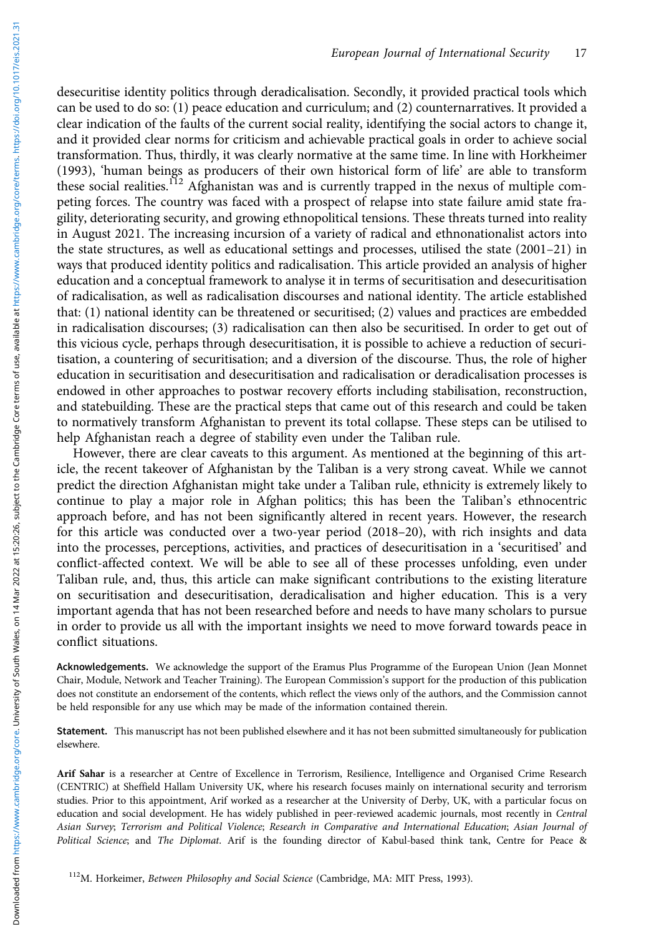desecuritise identity politics through deradicalisation. Secondly, it provided practical tools which can be used to do so: (1) peace education and curriculum; and (2) counternarratives. It provided a clear indication of the faults of the current social reality, identifying the social actors to change it, and it provided clear norms for criticism and achievable practical goals in order to achieve social transformation. Thus, thirdly, it was clearly normative at the same time. In line with Horkheimer (1993), 'human beings as producers of their own historical form of life' are able to transform these social realities.<sup>112</sup> Afghanistan was and is currently trapped in the nexus of multiple competing forces. The country was faced with a prospect of relapse into state failure amid state fragility, deteriorating security, and growing ethnopolitical tensions. These threats turned into reality in August 2021. The increasing incursion of a variety of radical and ethnonationalist actors into the state structures, as well as educational settings and processes, utilised the state (2001–21) in ways that produced identity politics and radicalisation. This article provided an analysis of higher education and a conceptual framework to analyse it in terms of securitisation and desecuritisation of radicalisation, as well as radicalisation discourses and national identity. The article established that: (1) national identity can be threatened or securitised; (2) values and practices are embedded in radicalisation discourses; (3) radicalisation can then also be securitised. In order to get out of this vicious cycle, perhaps through desecuritisation, it is possible to achieve a reduction of securitisation, a countering of securitisation; and a diversion of the discourse. Thus, the role of higher education in securitisation and desecuritisation and radicalisation or deradicalisation processes is endowed in other approaches to postwar recovery efforts including stabilisation, reconstruction, and statebuilding. These are the practical steps that came out of this research and could be taken to normatively transform Afghanistan to prevent its total collapse. These steps can be utilised to help Afghanistan reach a degree of stability even under the Taliban rule.

However, there are clear caveats to this argument. As mentioned at the beginning of this article, the recent takeover of Afghanistan by the Taliban is a very strong caveat. While we cannot predict the direction Afghanistan might take under a Taliban rule, ethnicity is extremely likely to continue to play a major role in Afghan politics; this has been the Taliban's ethnocentric approach before, and has not been significantly altered in recent years. However, the research for this article was conducted over a two-year period (2018–20), with rich insights and data into the processes, perceptions, activities, and practices of desecuritisation in a 'securitised' and conflict-affected context. We will be able to see all of these processes unfolding, even under Taliban rule, and, thus, this article can make significant contributions to the existing literature on securitisation and desecuritisation, deradicalisation and higher education. This is a very important agenda that has not been researched before and needs to have many scholars to pursue in order to provide us all with the important insights we need to move forward towards peace in conflict situations.

Acknowledgements. We acknowledge the support of the Eramus Plus Programme of the European Union (Jean Monnet Chair, Module, Network and Teacher Training). The European Commission's support for the production of this publication does not constitute an endorsement of the contents, which reflect the views only of the authors, and the Commission cannot be held responsible for any use which may be made of the information contained therein.

Statement. This manuscript has not been published elsewhere and it has not been submitted simultaneously for publication elsewhere.

Arif Sahar is a researcher at Centre of Excellence in Terrorism, Resilience, Intelligence and Organised Crime Research (CENTRIC) at Sheffield Hallam University UK, where his research focuses mainly on international security and terrorism studies. Prior to this appointment, Arif worked as a researcher at the University of Derby, UK, with a particular focus on education and social development. He has widely published in peer-reviewed academic journals, most recently in Central Asian Survey; Terrorism and Political Violence; Research in Comparative and International Education; Asian Journal of Political Science; and The Diplomat. Arif is the founding director of Kabul-based think tank, Centre for Peace &

<sup>112</sup>M. Horkeimer, Between Philosophy and Social Science (Cambridge, MA: MIT Press, 1993).